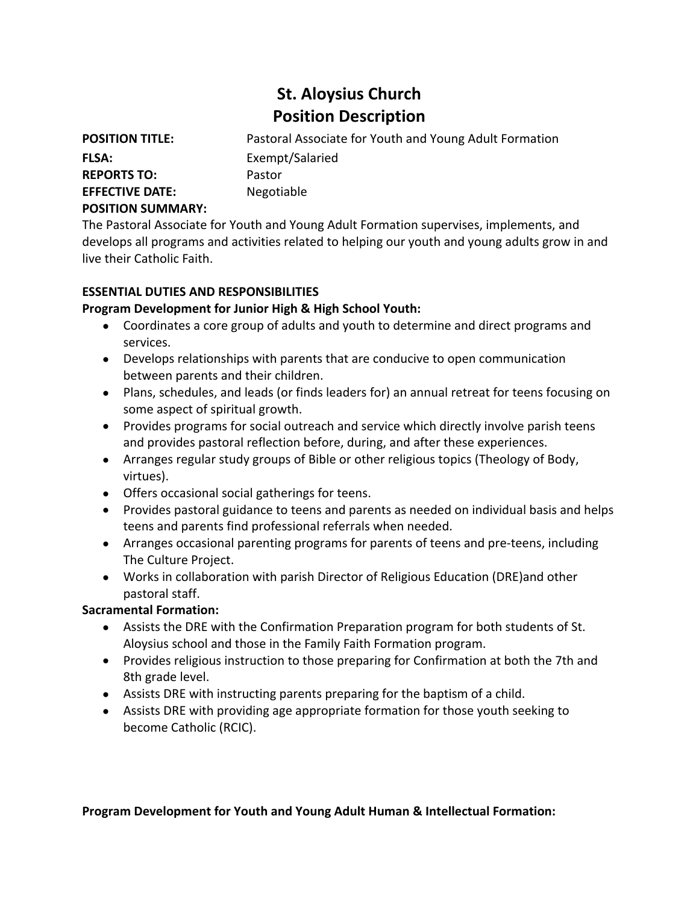# **St. Aloysius Church Position Description**

**POSITION TITLE:** Pastoral Associate for Youth and Young Adult Formation **FLSA:** Exempt/Salaried **REPORTS TO:** Pastor **EFFECTIVE DATE:** Negotiable

**POSITION SUMMARY:**

The Pastoral Associate for Youth and Young Adult Formation supervises, implements, and develops all programs and activities related to helping our youth and young adults grow in and live their Catholic Faith.

#### **ESSENTIAL DUTIES AND RESPONSIBILITIES**

## **Program Development for Junior High & High School Youth:**

- Coordinates a core group of adults and youth to determine and direct programs and services.
- Develops relationships with parents that are conducive to open communication between parents and their children.
- Plans, schedules, and leads (or finds leaders for) an annual retreat for teens focusing on some aspect of spiritual growth.
- Provides programs for social outreach and service which directly involve parish teens and provides pastoral reflection before, during, and after these experiences.
- Arranges regular study groups of Bible or other religious topics (Theology of Body, virtues).
- Offers occasional social gatherings for teens.
- Provides pastoral guidance to teens and parents as needed on individual basis and helps teens and parents find professional referrals when needed.
- Arranges occasional parenting programs for parents of teens and pre-teens, including The Culture Project.
- Works in collaboration with parish Director of Religious Education (DRE)and other pastoral staff.

#### **Sacramental Formation:**

- Assists the DRE with the Confirmation Preparation program for both students of St. Aloysius school and those in the Family Faith Formation program.
- Provides religious instruction to those preparing for Confirmation at both the 7th and 8th grade level.
- Assists DRE with instructing parents preparing for the baptism of a child.
- Assists DRE with providing age appropriate formation for those youth seeking to become Catholic (RCIC).

#### **Program Development for Youth and Young Adult Human & Intellectual Formation:**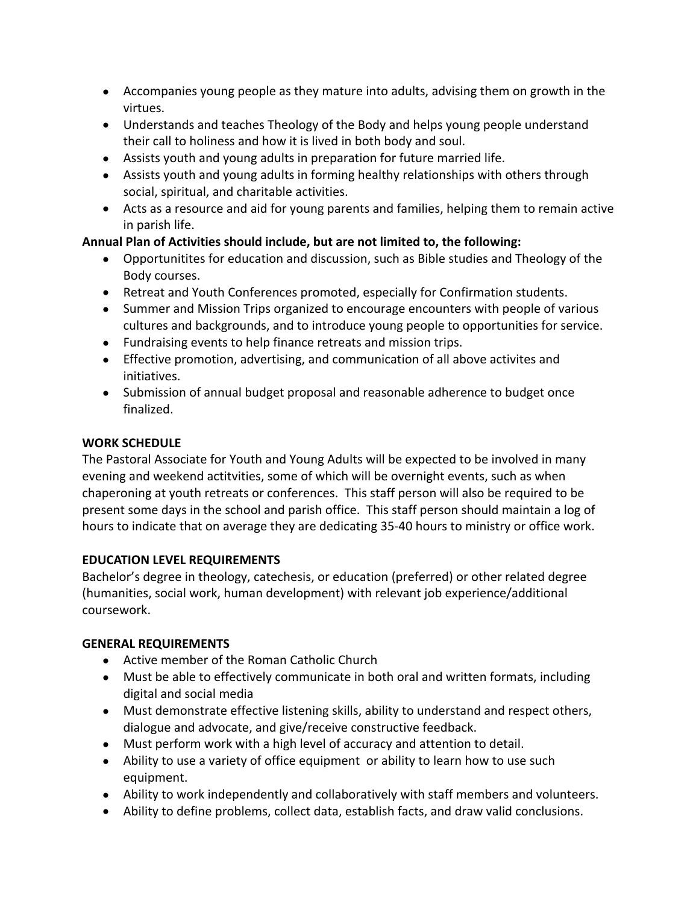- Accompanies young people as they mature into adults, advising them on growth in the virtues.
- Understands and teaches Theology of the Body and helps young people understand their call to holiness and how it is lived in both body and soul.
- Assists youth and young adults in preparation for future married life.
- Assists youth and young adults in forming healthy relationships with others through social, spiritual, and charitable activities.
- Acts as a resource and aid for young parents and families, helping them to remain active in parish life.

## **Annual Plan of Activities should include, but are not limited to, the following:**

- Opportunitites for education and discussion, such as Bible studies and Theology of the Body courses.
- Retreat and Youth Conferences promoted, especially for Confirmation students.
- Summer and Mission Trips organized to encourage encounters with people of various cultures and backgrounds, and to introduce young people to opportunities for service.
- Fundraising events to help finance retreats and mission trips.
- Effective promotion, advertising, and communication of all above activites and initiatives.
- Submission of annual budget proposal and reasonable adherence to budget once finalized.

#### **WORK SCHEDULE**

The Pastoral Associate for Youth and Young Adults will be expected to be involved in many evening and weekend actitvities, some of which will be overnight events, such as when chaperoning at youth retreats or conferences. This staff person will also be required to be present some days in the school and parish office. This staff person should maintain a log of hours to indicate that on average they are dedicating 35-40 hours to ministry or office work.

#### **EDUCATION LEVEL REQUIREMENTS**

Bachelor's degree in theology, catechesis, or education (preferred) or other related degree (humanities, social work, human development) with relevant job experience/additional coursework.

# **GENERAL REQUIREMENTS**

- Active member of the Roman Catholic Church
- Must be able to effectively communicate in both oral and written formats, including digital and social media
- Must demonstrate effective listening skills, ability to understand and respect others, dialogue and advocate, and give/receive constructive feedback.
- Must perform work with a high level of accuracy and attention to detail.
- Ability to use a variety of office equipment or ability to learn how to use such equipment.
- Ability to work independently and collaboratively with staff members and volunteers.
- Ability to define problems, collect data, establish facts, and draw valid conclusions.